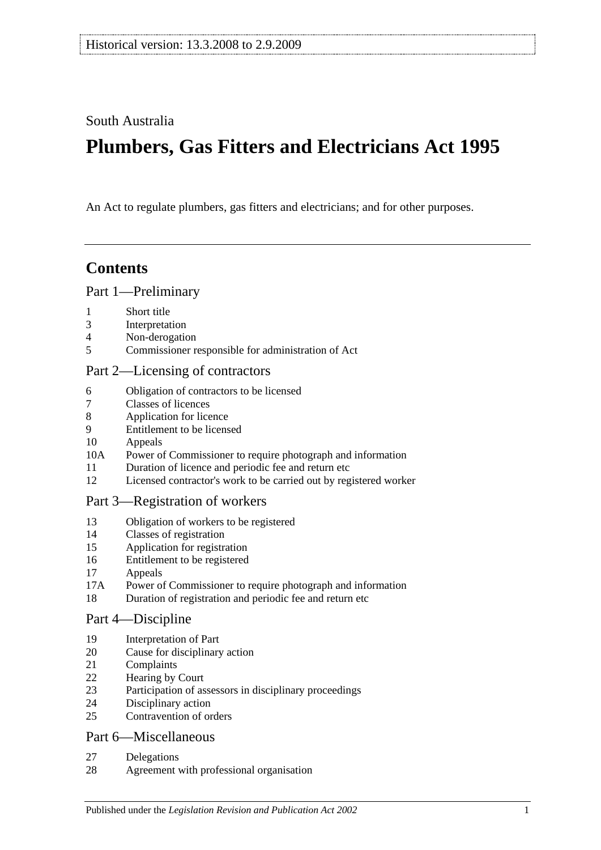South Australia

# **Plumbers, Gas Fitters and Electricians Act 1995**

An Act to regulate plumbers, gas fitters and electricians; and for other purposes.

## **Contents**

#### [Part 1—Preliminary](#page-1-0)

- [Short title](#page-1-1)
- [Interpretation](#page-1-2)
- [Non-derogation](#page-3-0)
- [Commissioner responsible for administration of Act](#page-3-1)

#### [Part 2—Licensing of contractors](#page-3-2)

- [Obligation of contractors to be licensed](#page-3-3)<br>7 Classes of licences
- [Classes of licences](#page-3-4)
- [Application for licence](#page-4-0)
- [Entitlement to be licensed](#page-5-0)
- [Appeals](#page-6-0)
- 10A [Power of Commissioner to require photograph and information](#page-7-0)
- [Duration of licence and periodic fee and return etc](#page-7-1)
- [Licensed contractor's work to be carried out by registered worker](#page-7-2)

### [Part 3—Registration of workers](#page-8-0)

- [Obligation of workers to be registered](#page-8-1)
- [Classes of registration](#page-8-2)
- [Application for registration](#page-9-0)
- [Entitlement to be registered](#page-9-1)
- [Appeals](#page-9-2)
- 17A [Power of Commissioner to require photograph and information](#page-10-0)
- [Duration of registration and periodic fee and return etc](#page-10-1)

#### [Part 4—Discipline](#page-11-0)

- [Interpretation of Part](#page-11-1)
- [Cause for disciplinary action](#page-11-2)
- [Complaints](#page-12-0)
- [Hearing by Court](#page-12-1)
- [Participation of assessors in disciplinary proceedings](#page-12-2)
- [Disciplinary action](#page-12-3)
- [Contravention of orders](#page-13-0)

### [Part 6—Miscellaneous](#page-13-1)

- [Delegations](#page-13-2)
- [Agreement with professional organisation](#page-14-0)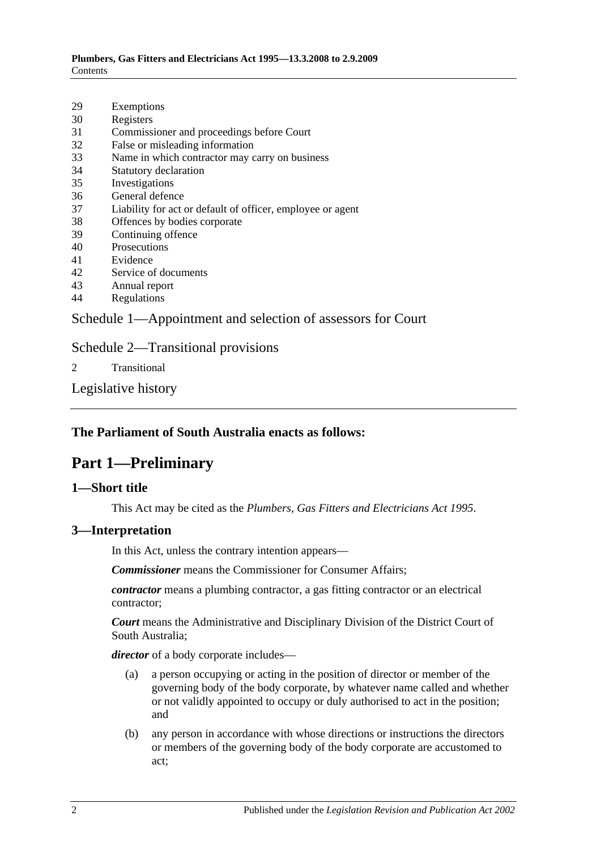- 29 [Exemptions](#page-14-1)
- 30 [Registers](#page-14-2)
- 31 [Commissioner and proceedings before Court](#page-15-0)
- 32 [False or misleading information](#page-15-1)
- 33 [Name in which contractor may carry on business](#page-15-2)
- 34 [Statutory declaration](#page-15-3)
- 35 [Investigations](#page-15-4)
- 36 [General defence](#page-16-0)
- 37 [Liability for act or default of officer, employee or agent](#page-16-1)
- 38 [Offences by bodies corporate](#page-16-2)
- 39 [Continuing offence](#page-16-3)
- 40 [Prosecutions](#page-16-4)
- 41 [Evidence](#page-17-0)
- 42 [Service of documents](#page-17-1)
- 43 [Annual report](#page-17-2)
- 44 [Regulations](#page-17-3)

[Schedule 1—Appointment and selection of assessors for Court](#page-18-0)

#### [Schedule 2—Transitional provisions](#page-19-0)

2 [Transitional](#page-19-1)

[Legislative history](#page-21-0)

### <span id="page-1-0"></span>**The Parliament of South Australia enacts as follows:**

## **Part 1—Preliminary**

#### <span id="page-1-1"></span>**1—Short title**

This Act may be cited as the *Plumbers, Gas Fitters and Electricians Act 1995*.

#### <span id="page-1-2"></span>**3—Interpretation**

In this Act, unless the contrary intention appears—

*Commissioner* means the Commissioner for Consumer Affairs;

*contractor* means a plumbing contractor, a gas fitting contractor or an electrical contractor;

*Court* means the Administrative and Disciplinary Division of the District Court of South Australia;

*director* of a body corporate includes—

- (a) a person occupying or acting in the position of director or member of the governing body of the body corporate, by whatever name called and whether or not validly appointed to occupy or duly authorised to act in the position; and
- (b) any person in accordance with whose directions or instructions the directors or members of the governing body of the body corporate are accustomed to act;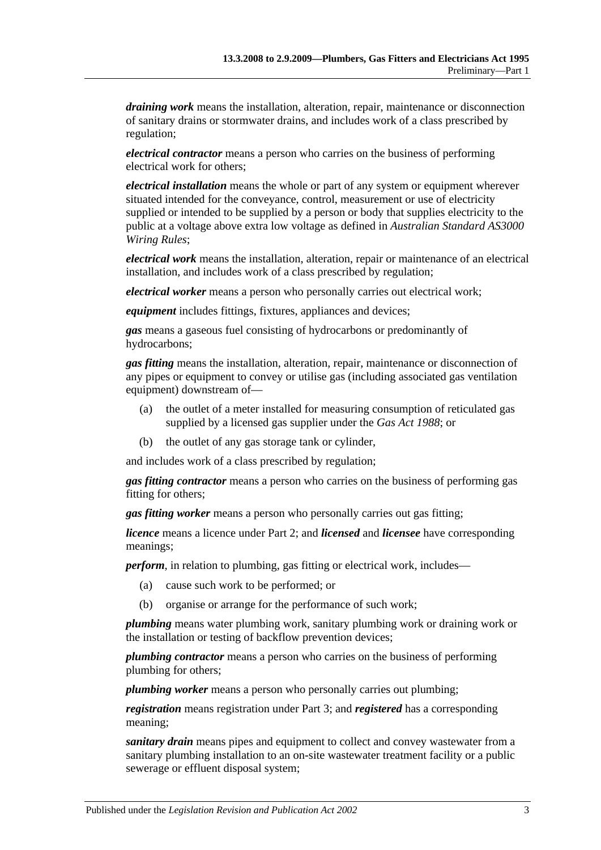*draining work* means the installation, alteration, repair, maintenance or disconnection of sanitary drains or stormwater drains, and includes work of a class prescribed by regulation;

*electrical contractor* means a person who carries on the business of performing electrical work for others;

*electrical installation* means the whole or part of any system or equipment wherever situated intended for the conveyance, control, measurement or use of electricity supplied or intended to be supplied by a person or body that supplies electricity to the public at a voltage above extra low voltage as defined in *Australian Standard AS3000 Wiring Rules*;

*electrical work* means the installation, alteration, repair or maintenance of an electrical installation, and includes work of a class prescribed by regulation;

*electrical worker* means a person who personally carries out electrical work;

*equipment* includes fittings, fixtures, appliances and devices;

*gas* means a gaseous fuel consisting of hydrocarbons or predominantly of hydrocarbons;

*gas fitting* means the installation, alteration, repair, maintenance or disconnection of any pipes or equipment to convey or utilise gas (including associated gas ventilation equipment) downstream of—

- (a) the outlet of a meter installed for measuring consumption of reticulated gas supplied by a licensed gas supplier under the *[Gas Act](http://www.legislation.sa.gov.au/index.aspx?action=legref&type=act&legtitle=Gas%20Act%201988) 1988*; or
- (b) the outlet of any gas storage tank or cylinder,

and includes work of a class prescribed by regulation;

*gas fitting contractor* means a person who carries on the business of performing gas fitting for others;

*gas fitting worker* means a person who personally carries out gas fitting;

*licence* means a licence under [Part 2;](#page-3-2) and *licensed* and *licensee* have corresponding meanings;

*perform*, in relation to plumbing, gas fitting or electrical work, includes—

- (a) cause such work to be performed; or
- (b) organise or arrange for the performance of such work;

*plumbing* means water plumbing work, sanitary plumbing work or draining work or the installation or testing of backflow prevention devices;

*plumbing contractor* means a person who carries on the business of performing plumbing for others;

*plumbing worker* means a person who personally carries out plumbing;

*registration* means registration under [Part 3;](#page-8-0) and *registered* has a corresponding meaning;

*sanitary drain* means pipes and equipment to collect and convey wastewater from a sanitary plumbing installation to an on-site wastewater treatment facility or a public sewerage or effluent disposal system;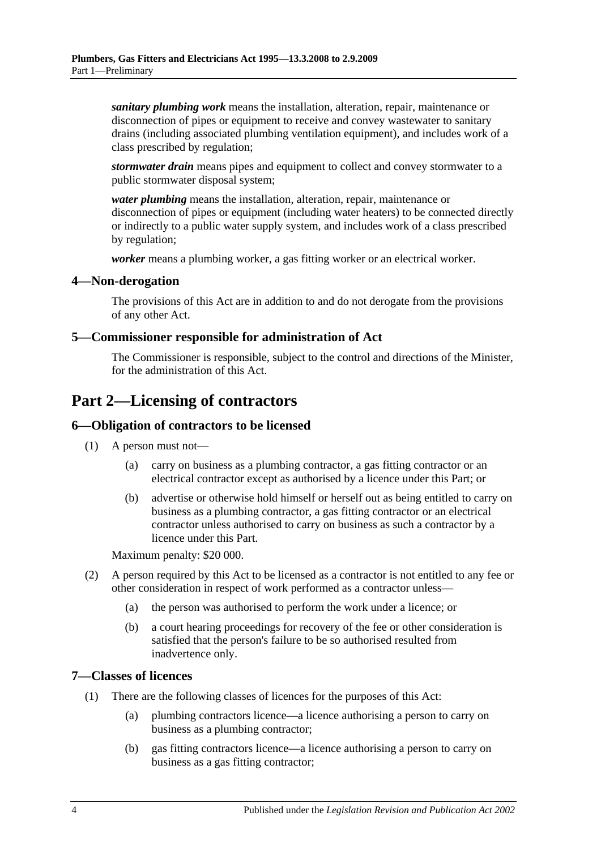*sanitary plumbing work* means the installation, alteration, repair, maintenance or disconnection of pipes or equipment to receive and convey wastewater to sanitary drains (including associated plumbing ventilation equipment), and includes work of a class prescribed by regulation;

*stormwater drain* means pipes and equipment to collect and convey stormwater to a public stormwater disposal system;

*water plumbing* means the installation, alteration, repair, maintenance or disconnection of pipes or equipment (including water heaters) to be connected directly or indirectly to a public water supply system, and includes work of a class prescribed by regulation;

*worker* means a plumbing worker, a gas fitting worker or an electrical worker.

#### <span id="page-3-0"></span>**4—Non-derogation**

The provisions of this Act are in addition to and do not derogate from the provisions of any other Act.

#### <span id="page-3-1"></span>**5—Commissioner responsible for administration of Act**

The Commissioner is responsible, subject to the control and directions of the Minister, for the administration of this Act.

## <span id="page-3-2"></span>**Part 2—Licensing of contractors**

### <span id="page-3-3"></span>**6—Obligation of contractors to be licensed**

- (1) A person must not—
	- (a) carry on business as a plumbing contractor, a gas fitting contractor or an electrical contractor except as authorised by a licence under this Part; or
	- (b) advertise or otherwise hold himself or herself out as being entitled to carry on business as a plumbing contractor, a gas fitting contractor or an electrical contractor unless authorised to carry on business as such a contractor by a licence under this Part.

Maximum penalty: \$20 000.

- (2) A person required by this Act to be licensed as a contractor is not entitled to any fee or other consideration in respect of work performed as a contractor unless—
	- (a) the person was authorised to perform the work under a licence; or
	- (b) a court hearing proceedings for recovery of the fee or other consideration is satisfied that the person's failure to be so authorised resulted from inadvertence only.

#### <span id="page-3-4"></span>**7—Classes of licences**

- (1) There are the following classes of licences for the purposes of this Act:
	- (a) plumbing contractors licence—a licence authorising a person to carry on business as a plumbing contractor;
	- (b) gas fitting contractors licence—a licence authorising a person to carry on business as a gas fitting contractor;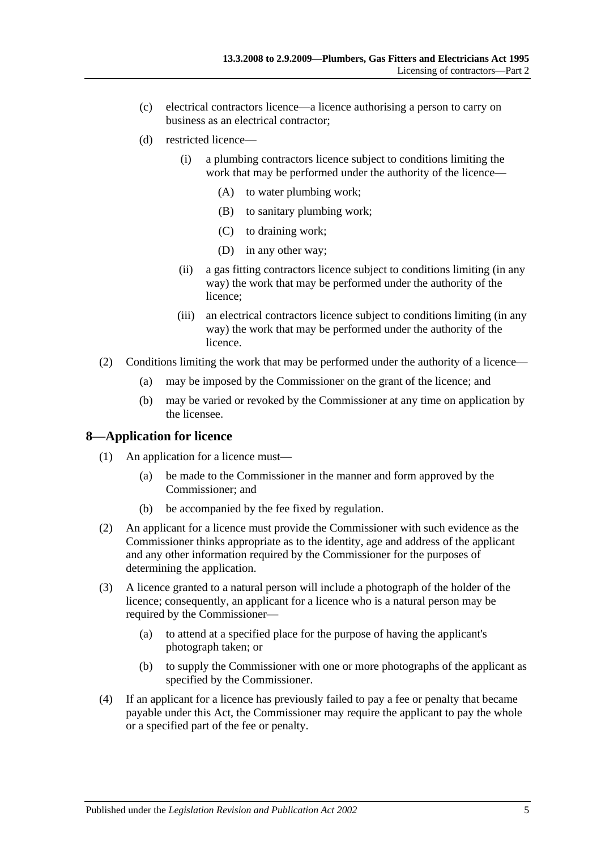- (c) electrical contractors licence—a licence authorising a person to carry on business as an electrical contractor;
- (d) restricted licence—
	- (i) a plumbing contractors licence subject to conditions limiting the work that may be performed under the authority of the licence—
		- (A) to water plumbing work;
		- (B) to sanitary plumbing work;
		- (C) to draining work;
		- (D) in any other way;
	- (ii) a gas fitting contractors licence subject to conditions limiting (in any way) the work that may be performed under the authority of the licence;
	- (iii) an electrical contractors licence subject to conditions limiting (in any way) the work that may be performed under the authority of the licence.
- (2) Conditions limiting the work that may be performed under the authority of a licence—
	- (a) may be imposed by the Commissioner on the grant of the licence; and
	- (b) may be varied or revoked by the Commissioner at any time on application by the licensee.

#### <span id="page-4-0"></span>**8—Application for licence**

- (1) An application for a licence must—
	- (a) be made to the Commissioner in the manner and form approved by the Commissioner; and
	- (b) be accompanied by the fee fixed by regulation.
- (2) An applicant for a licence must provide the Commissioner with such evidence as the Commissioner thinks appropriate as to the identity, age and address of the applicant and any other information required by the Commissioner for the purposes of determining the application.
- (3) A licence granted to a natural person will include a photograph of the holder of the licence; consequently, an applicant for a licence who is a natural person may be required by the Commissioner—
	- (a) to attend at a specified place for the purpose of having the applicant's photograph taken; or
	- (b) to supply the Commissioner with one or more photographs of the applicant as specified by the Commissioner.
- (4) If an applicant for a licence has previously failed to pay a fee or penalty that became payable under this Act, the Commissioner may require the applicant to pay the whole or a specified part of the fee or penalty.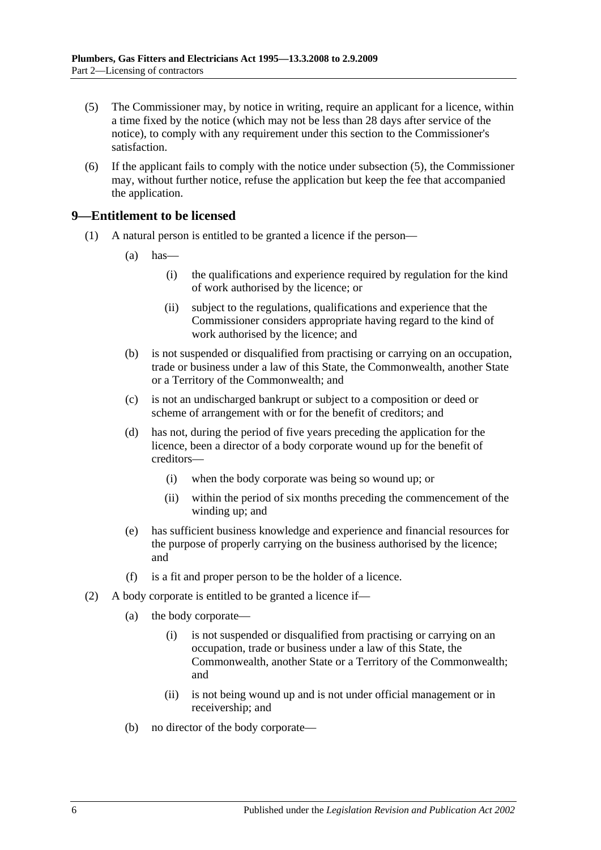- <span id="page-5-1"></span>(5) The Commissioner may, by notice in writing, require an applicant for a licence, within a time fixed by the notice (which may not be less than 28 days after service of the notice), to comply with any requirement under this section to the Commissioner's satisfaction.
- (6) If the applicant fails to comply with the notice under [subsection](#page-5-1) (5), the Commissioner may, without further notice, refuse the application but keep the fee that accompanied the application.

### <span id="page-5-0"></span>**9—Entitlement to be licensed**

- (1) A natural person is entitled to be granted a licence if the person—
	- $(a)$  has—
		- (i) the qualifications and experience required by regulation for the kind of work authorised by the licence; or
		- (ii) subject to the regulations, qualifications and experience that the Commissioner considers appropriate having regard to the kind of work authorised by the licence; and
	- (b) is not suspended or disqualified from practising or carrying on an occupation, trade or business under a law of this State, the Commonwealth, another State or a Territory of the Commonwealth; and
	- (c) is not an undischarged bankrupt or subject to a composition or deed or scheme of arrangement with or for the benefit of creditors; and
	- (d) has not, during the period of five years preceding the application for the licence, been a director of a body corporate wound up for the benefit of creditors—
		- (i) when the body corporate was being so wound up; or
		- (ii) within the period of six months preceding the commencement of the winding up; and
	- (e) has sufficient business knowledge and experience and financial resources for the purpose of properly carrying on the business authorised by the licence; and
	- (f) is a fit and proper person to be the holder of a licence.
- (2) A body corporate is entitled to be granted a licence if—
	- (a) the body corporate—
		- (i) is not suspended or disqualified from practising or carrying on an occupation, trade or business under a law of this State, the Commonwealth, another State or a Territory of the Commonwealth; and
		- (ii) is not being wound up and is not under official management or in receivership; and
	- (b) no director of the body corporate—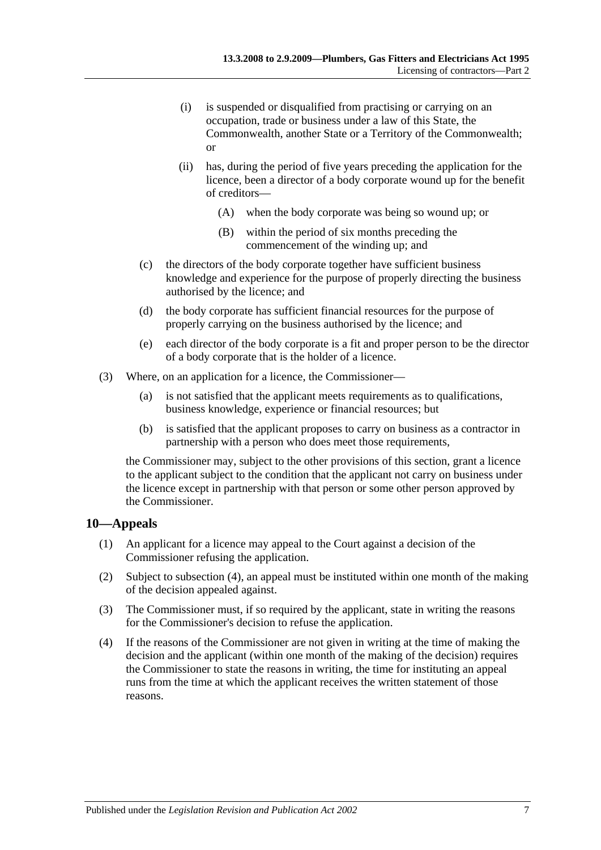- (i) is suspended or disqualified from practising or carrying on an occupation, trade or business under a law of this State, the Commonwealth, another State or a Territory of the Commonwealth; or
- (ii) has, during the period of five years preceding the application for the licence, been a director of a body corporate wound up for the benefit of creditors—
	- (A) when the body corporate was being so wound up; or
	- (B) within the period of six months preceding the commencement of the winding up; and
- (c) the directors of the body corporate together have sufficient business knowledge and experience for the purpose of properly directing the business authorised by the licence; and
- (d) the body corporate has sufficient financial resources for the purpose of properly carrying on the business authorised by the licence; and
- (e) each director of the body corporate is a fit and proper person to be the director of a body corporate that is the holder of a licence.
- (3) Where, on an application for a licence, the Commissioner—
	- (a) is not satisfied that the applicant meets requirements as to qualifications, business knowledge, experience or financial resources; but
	- (b) is satisfied that the applicant proposes to carry on business as a contractor in partnership with a person who does meet those requirements,

the Commissioner may, subject to the other provisions of this section, grant a licence to the applicant subject to the condition that the applicant not carry on business under the licence except in partnership with that person or some other person approved by the Commissioner.

#### <span id="page-6-0"></span>**10—Appeals**

- (1) An applicant for a licence may appeal to the Court against a decision of the Commissioner refusing the application.
- (2) Subject to [subsection](#page-6-1) (4), an appeal must be instituted within one month of the making of the decision appealed against.
- (3) The Commissioner must, if so required by the applicant, state in writing the reasons for the Commissioner's decision to refuse the application.
- <span id="page-6-1"></span>(4) If the reasons of the Commissioner are not given in writing at the time of making the decision and the applicant (within one month of the making of the decision) requires the Commissioner to state the reasons in writing, the time for instituting an appeal runs from the time at which the applicant receives the written statement of those reasons.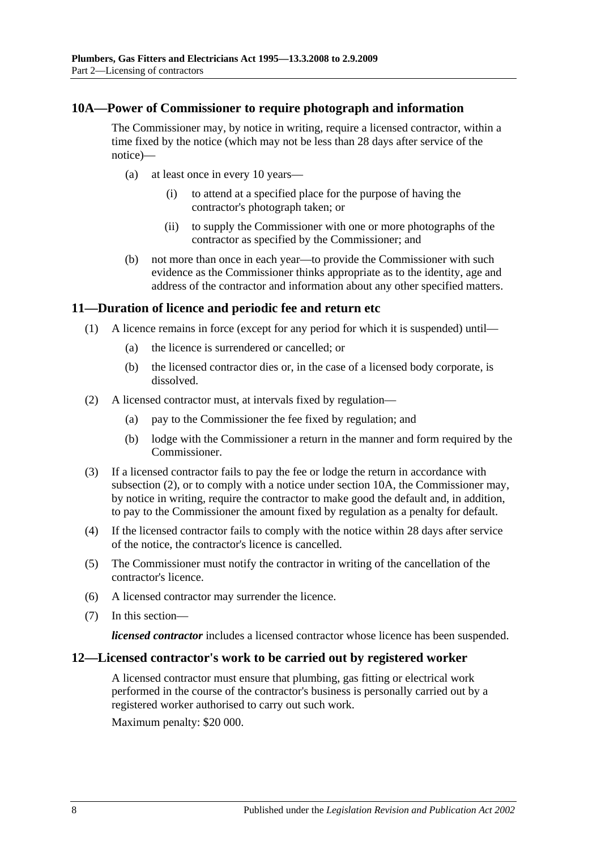#### <span id="page-7-0"></span>**10A—Power of Commissioner to require photograph and information**

The Commissioner may, by notice in writing, require a licensed contractor, within a time fixed by the notice (which may not be less than 28 days after service of the notice)—

- (a) at least once in every 10 years—
	- (i) to attend at a specified place for the purpose of having the contractor's photograph taken; or
	- (ii) to supply the Commissioner with one or more photographs of the contractor as specified by the Commissioner; and
- (b) not more than once in each year—to provide the Commissioner with such evidence as the Commissioner thinks appropriate as to the identity, age and address of the contractor and information about any other specified matters.

#### <span id="page-7-1"></span>**11—Duration of licence and periodic fee and return etc**

- (1) A licence remains in force (except for any period for which it is suspended) until—
	- (a) the licence is surrendered or cancelled; or
	- (b) the licensed contractor dies or, in the case of a licensed body corporate, is dissolved.
- <span id="page-7-3"></span>(2) A licensed contractor must, at intervals fixed by regulation—
	- (a) pay to the Commissioner the fee fixed by regulation; and
	- (b) lodge with the Commissioner a return in the manner and form required by the Commissioner.
- (3) If a licensed contractor fails to pay the fee or lodge the return in accordance with [subsection](#page-7-3) (2), or to comply with a notice under [section](#page-7-0) 10A, the Commissioner may, by notice in writing, require the contractor to make good the default and, in addition, to pay to the Commissioner the amount fixed by regulation as a penalty for default.
- (4) If the licensed contractor fails to comply with the notice within 28 days after service of the notice, the contractor's licence is cancelled.
- (5) The Commissioner must notify the contractor in writing of the cancellation of the contractor's licence.
- (6) A licensed contractor may surrender the licence.
- (7) In this section—

*licensed contractor* includes a licensed contractor whose licence has been suspended.

#### <span id="page-7-2"></span>**12—Licensed contractor's work to be carried out by registered worker**

A licensed contractor must ensure that plumbing, gas fitting or electrical work performed in the course of the contractor's business is personally carried out by a registered worker authorised to carry out such work.

Maximum penalty: \$20 000.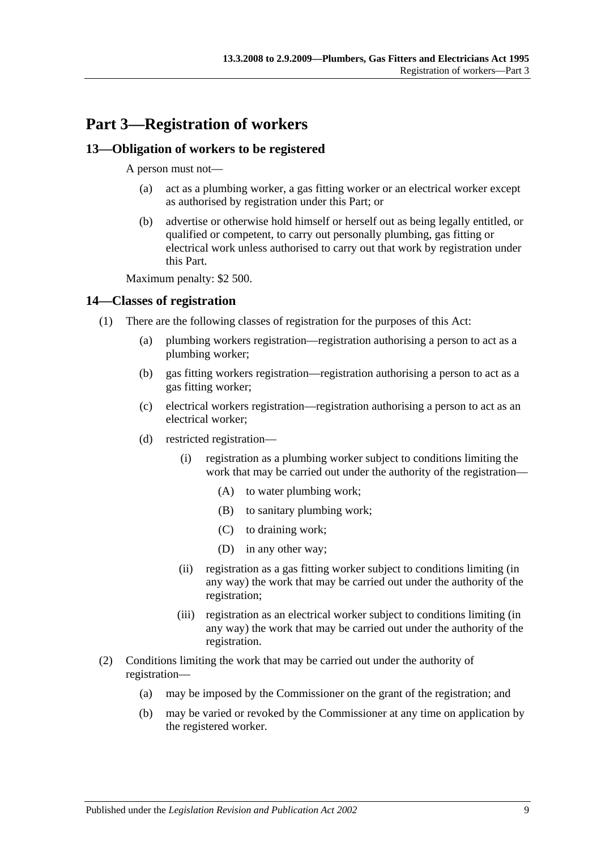## <span id="page-8-0"></span>**Part 3—Registration of workers**

### <span id="page-8-1"></span>**13—Obligation of workers to be registered**

A person must not—

- (a) act as a plumbing worker, a gas fitting worker or an electrical worker except as authorised by registration under this Part; or
- (b) advertise or otherwise hold himself or herself out as being legally entitled, or qualified or competent, to carry out personally plumbing, gas fitting or electrical work unless authorised to carry out that work by registration under this Part.

Maximum penalty: \$2 500.

### <span id="page-8-2"></span>**14—Classes of registration**

- (1) There are the following classes of registration for the purposes of this Act:
	- (a) plumbing workers registration—registration authorising a person to act as a plumbing worker;
	- (b) gas fitting workers registration—registration authorising a person to act as a gas fitting worker;
	- (c) electrical workers registration—registration authorising a person to act as an electrical worker;
	- (d) restricted registration—
		- (i) registration as a plumbing worker subject to conditions limiting the work that may be carried out under the authority of the registration—
			- (A) to water plumbing work;
			- (B) to sanitary plumbing work;
			- (C) to draining work;
			- (D) in any other way;
		- (ii) registration as a gas fitting worker subject to conditions limiting (in any way) the work that may be carried out under the authority of the registration;
		- (iii) registration as an electrical worker subject to conditions limiting (in any way) the work that may be carried out under the authority of the registration.
- (2) Conditions limiting the work that may be carried out under the authority of registration—
	- (a) may be imposed by the Commissioner on the grant of the registration; and
	- (b) may be varied or revoked by the Commissioner at any time on application by the registered worker.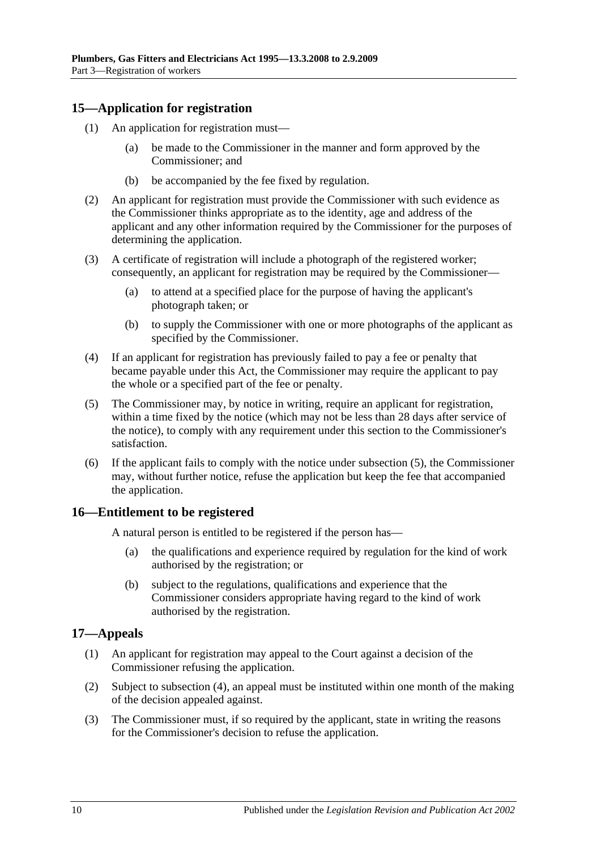### <span id="page-9-0"></span>**15—Application for registration**

- (1) An application for registration must—
	- (a) be made to the Commissioner in the manner and form approved by the Commissioner; and
	- (b) be accompanied by the fee fixed by regulation.
- (2) An applicant for registration must provide the Commissioner with such evidence as the Commissioner thinks appropriate as to the identity, age and address of the applicant and any other information required by the Commissioner for the purposes of determining the application.
- (3) A certificate of registration will include a photograph of the registered worker; consequently, an applicant for registration may be required by the Commissioner—
	- (a) to attend at a specified place for the purpose of having the applicant's photograph taken; or
	- (b) to supply the Commissioner with one or more photographs of the applicant as specified by the Commissioner.
- (4) If an applicant for registration has previously failed to pay a fee or penalty that became payable under this Act, the Commissioner may require the applicant to pay the whole or a specified part of the fee or penalty.
- <span id="page-9-3"></span>(5) The Commissioner may, by notice in writing, require an applicant for registration, within a time fixed by the notice (which may not be less than 28 days after service of the notice), to comply with any requirement under this section to the Commissioner's satisfaction.
- (6) If the applicant fails to comply with the notice under [subsection](#page-9-3) (5), the Commissioner may, without further notice, refuse the application but keep the fee that accompanied the application.

#### <span id="page-9-1"></span>**16—Entitlement to be registered**

A natural person is entitled to be registered if the person has—

- (a) the qualifications and experience required by regulation for the kind of work authorised by the registration; or
- (b) subject to the regulations, qualifications and experience that the Commissioner considers appropriate having regard to the kind of work authorised by the registration.

### <span id="page-9-2"></span>**17—Appeals**

- (1) An applicant for registration may appeal to the Court against a decision of the Commissioner refusing the application.
- (2) Subject to [subsection](#page-10-2) (4), an appeal must be instituted within one month of the making of the decision appealed against.
- (3) The Commissioner must, if so required by the applicant, state in writing the reasons for the Commissioner's decision to refuse the application.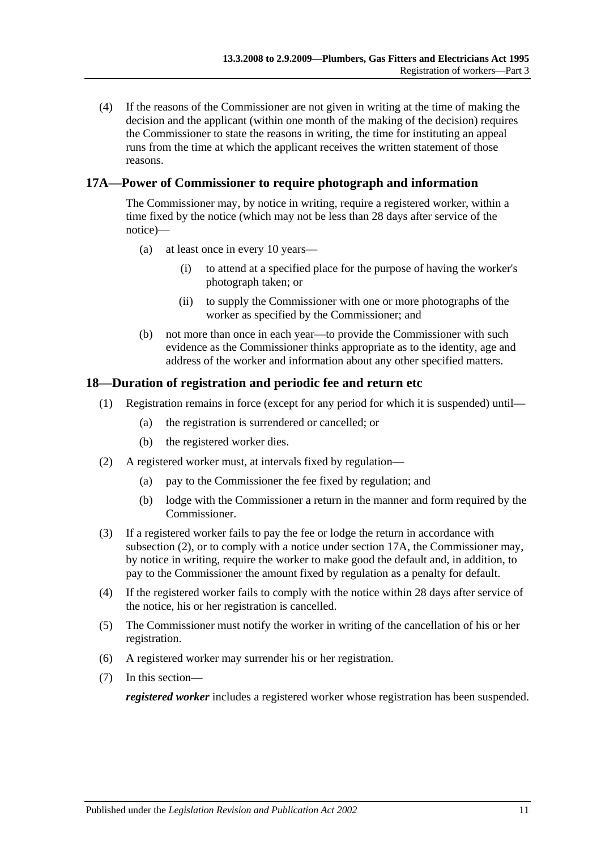<span id="page-10-2"></span>(4) If the reasons of the Commissioner are not given in writing at the time of making the decision and the applicant (within one month of the making of the decision) requires the Commissioner to state the reasons in writing, the time for instituting an appeal runs from the time at which the applicant receives the written statement of those reasons.

### <span id="page-10-0"></span>**17A—Power of Commissioner to require photograph and information**

The Commissioner may, by notice in writing, require a registered worker, within a time fixed by the notice (which may not be less than 28 days after service of the notice)—

- (a) at least once in every 10 years—
	- (i) to attend at a specified place for the purpose of having the worker's photograph taken; or
	- (ii) to supply the Commissioner with one or more photographs of the worker as specified by the Commissioner; and
- (b) not more than once in each year—to provide the Commissioner with such evidence as the Commissioner thinks appropriate as to the identity, age and address of the worker and information about any other specified matters.

### <span id="page-10-1"></span>**18—Duration of registration and periodic fee and return etc**

- (1) Registration remains in force (except for any period for which it is suspended) until—
	- (a) the registration is surrendered or cancelled; or
	- (b) the registered worker dies.
- <span id="page-10-3"></span>(2) A registered worker must, at intervals fixed by regulation—
	- (a) pay to the Commissioner the fee fixed by regulation; and
	- (b) lodge with the Commissioner a return in the manner and form required by the Commissioner.
- (3) If a registered worker fails to pay the fee or lodge the return in accordance with [subsection](#page-10-3) (2), or to comply with a notice under [section](#page-10-0) 17A, the Commissioner may, by notice in writing, require the worker to make good the default and, in addition, to pay to the Commissioner the amount fixed by regulation as a penalty for default.
- (4) If the registered worker fails to comply with the notice within 28 days after service of the notice, his or her registration is cancelled.
- (5) The Commissioner must notify the worker in writing of the cancellation of his or her registration.
- (6) A registered worker may surrender his or her registration.
- (7) In this section—

*registered worker* includes a registered worker whose registration has been suspended.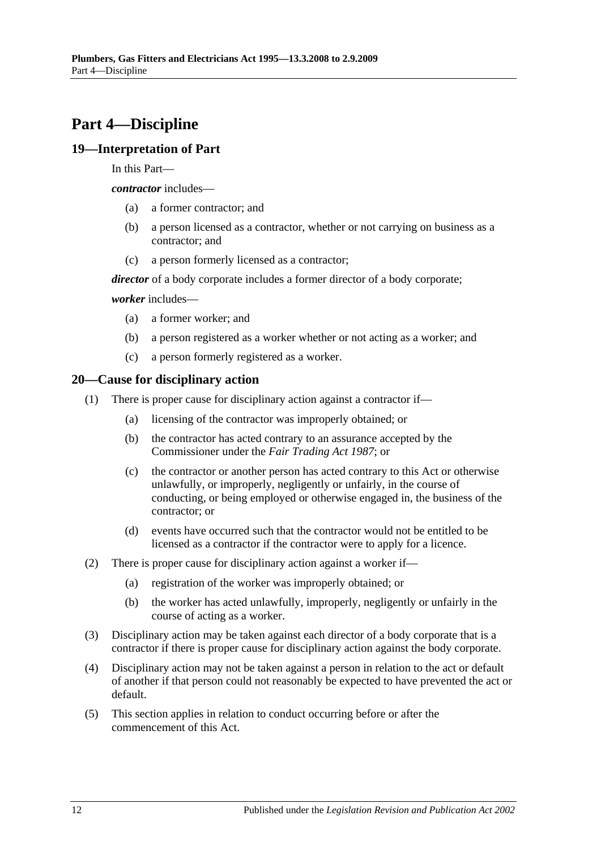## <span id="page-11-0"></span>**Part 4—Discipline**

### <span id="page-11-1"></span>**19—Interpretation of Part**

In this Part—

*contractor* includes—

- (a) a former contractor; and
- (b) a person licensed as a contractor, whether or not carrying on business as a contractor; and
- (c) a person formerly licensed as a contractor;

*director* of a body corporate includes a former director of a body corporate;

*worker* includes—

- (a) a former worker; and
- (b) a person registered as a worker whether or not acting as a worker; and
- (c) a person formerly registered as a worker.

### <span id="page-11-2"></span>**20—Cause for disciplinary action**

- (1) There is proper cause for disciplinary action against a contractor if—
	- (a) licensing of the contractor was improperly obtained; or
	- (b) the contractor has acted contrary to an assurance accepted by the Commissioner under the *[Fair Trading Act](http://www.legislation.sa.gov.au/index.aspx?action=legref&type=act&legtitle=Fair%20Trading%20Act%201987) 1987*; or
	- (c) the contractor or another person has acted contrary to this Act or otherwise unlawfully, or improperly, negligently or unfairly, in the course of conducting, or being employed or otherwise engaged in, the business of the contractor; or
	- (d) events have occurred such that the contractor would not be entitled to be licensed as a contractor if the contractor were to apply for a licence.
- (2) There is proper cause for disciplinary action against a worker if—
	- (a) registration of the worker was improperly obtained; or
	- (b) the worker has acted unlawfully, improperly, negligently or unfairly in the course of acting as a worker.
- (3) Disciplinary action may be taken against each director of a body corporate that is a contractor if there is proper cause for disciplinary action against the body corporate.
- (4) Disciplinary action may not be taken against a person in relation to the act or default of another if that person could not reasonably be expected to have prevented the act or default.
- (5) This section applies in relation to conduct occurring before or after the commencement of this Act.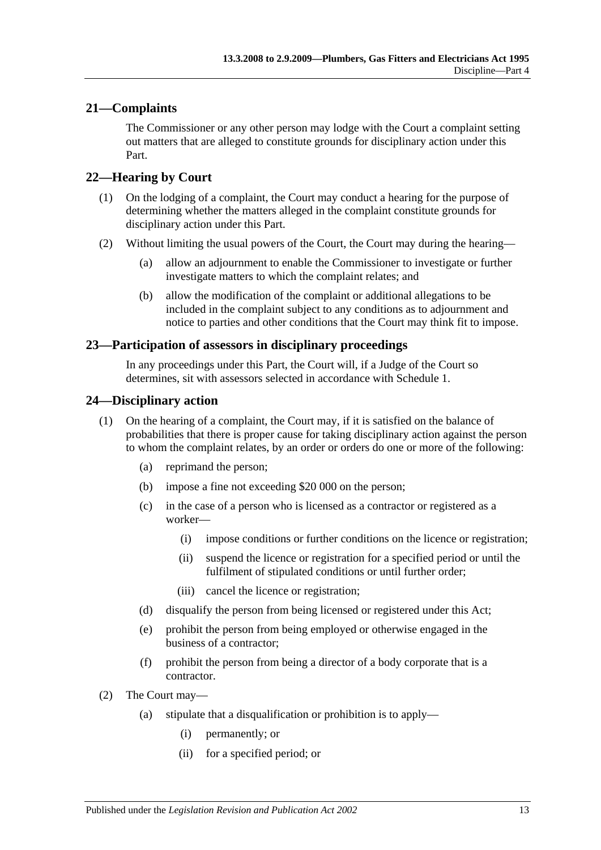### <span id="page-12-0"></span>**21—Complaints**

The Commissioner or any other person may lodge with the Court a complaint setting out matters that are alleged to constitute grounds for disciplinary action under this Part.

### <span id="page-12-1"></span>**22—Hearing by Court**

- (1) On the lodging of a complaint, the Court may conduct a hearing for the purpose of determining whether the matters alleged in the complaint constitute grounds for disciplinary action under this Part.
- (2) Without limiting the usual powers of the Court, the Court may during the hearing—
	- (a) allow an adjournment to enable the Commissioner to investigate or further investigate matters to which the complaint relates; and
	- (b) allow the modification of the complaint or additional allegations to be included in the complaint subject to any conditions as to adjournment and notice to parties and other conditions that the Court may think fit to impose.

### <span id="page-12-2"></span>**23—Participation of assessors in disciplinary proceedings**

In any proceedings under this Part, the Court will, if a Judge of the Court so determines, sit with assessors selected in accordance with [Schedule 1.](#page-18-0)

### <span id="page-12-3"></span>**24—Disciplinary action**

- (1) On the hearing of a complaint, the Court may, if it is satisfied on the balance of probabilities that there is proper cause for taking disciplinary action against the person to whom the complaint relates, by an order or orders do one or more of the following:
	- (a) reprimand the person;
	- (b) impose a fine not exceeding \$20 000 on the person;
	- (c) in the case of a person who is licensed as a contractor or registered as a worker—
		- (i) impose conditions or further conditions on the licence or registration;
		- (ii) suspend the licence or registration for a specified period or until the fulfilment of stipulated conditions or until further order;
		- (iii) cancel the licence or registration;
	- (d) disqualify the person from being licensed or registered under this Act;
	- (e) prohibit the person from being employed or otherwise engaged in the business of a contractor;
	- (f) prohibit the person from being a director of a body corporate that is a contractor.
- (2) The Court may—
	- (a) stipulate that a disqualification or prohibition is to apply—
		- (i) permanently; or
		- (ii) for a specified period; or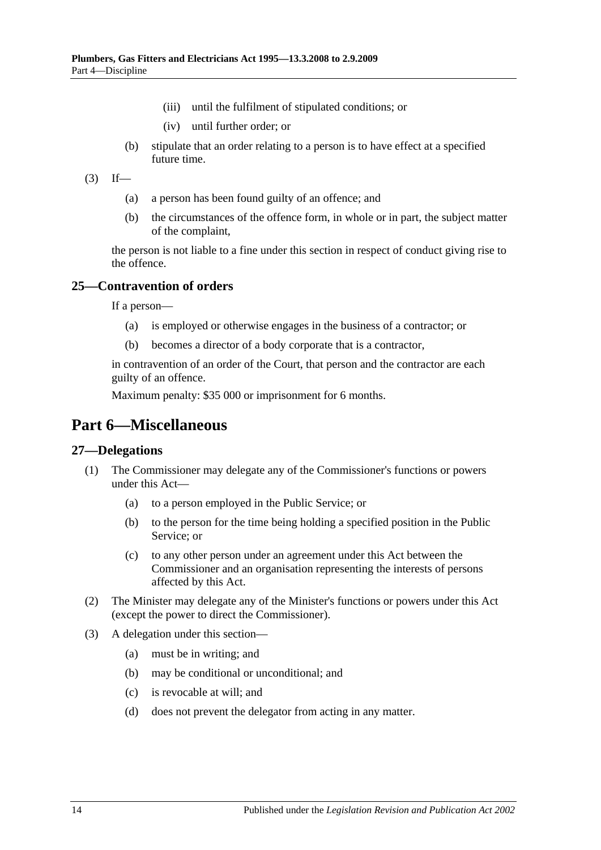- (iii) until the fulfilment of stipulated conditions; or
- (iv) until further order; or
- (b) stipulate that an order relating to a person is to have effect at a specified future time.
- $(3)$  If—
	- (a) a person has been found guilty of an offence; and
	- (b) the circumstances of the offence form, in whole or in part, the subject matter of the complaint,

the person is not liable to a fine under this section in respect of conduct giving rise to the offence.

### <span id="page-13-0"></span>**25—Contravention of orders**

If a person—

- (a) is employed or otherwise engages in the business of a contractor; or
- (b) becomes a director of a body corporate that is a contractor,

in contravention of an order of the Court, that person and the contractor are each guilty of an offence.

Maximum penalty: \$35 000 or imprisonment for 6 months.

## <span id="page-13-1"></span>**Part 6—Miscellaneous**

#### <span id="page-13-2"></span>**27—Delegations**

- (1) The Commissioner may delegate any of the Commissioner's functions or powers under this Act—
	- (a) to a person employed in the Public Service; or
	- (b) to the person for the time being holding a specified position in the Public Service; or
	- (c) to any other person under an agreement under this Act between the Commissioner and an organisation representing the interests of persons affected by this Act.
- (2) The Minister may delegate any of the Minister's functions or powers under this Act (except the power to direct the Commissioner).
- (3) A delegation under this section—
	- (a) must be in writing; and
	- (b) may be conditional or unconditional; and
	- (c) is revocable at will; and
	- (d) does not prevent the delegator from acting in any matter.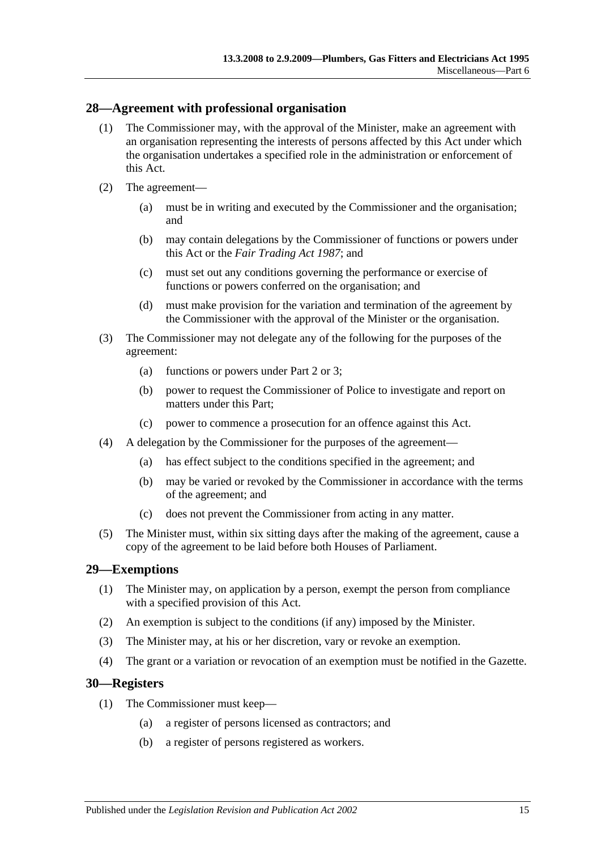#### <span id="page-14-0"></span>**28—Agreement with professional organisation**

- (1) The Commissioner may, with the approval of the Minister, make an agreement with an organisation representing the interests of persons affected by this Act under which the organisation undertakes a specified role in the administration or enforcement of this Act.
- (2) The agreement—
	- (a) must be in writing and executed by the Commissioner and the organisation; and
	- (b) may contain delegations by the Commissioner of functions or powers under this Act or the *[Fair Trading Act](http://www.legislation.sa.gov.au/index.aspx?action=legref&type=act&legtitle=Fair%20Trading%20Act%201987) 1987*; and
	- (c) must set out any conditions governing the performance or exercise of functions or powers conferred on the organisation; and
	- (d) must make provision for the variation and termination of the agreement by the Commissioner with the approval of the Minister or the organisation.
- (3) The Commissioner may not delegate any of the following for the purposes of the agreement:
	- (a) functions or powers under [Part 2](#page-3-2) or [3;](#page-8-0)
	- (b) power to request the Commissioner of Police to investigate and report on matters under this Part;
	- (c) power to commence a prosecution for an offence against this Act.
- (4) A delegation by the Commissioner for the purposes of the agreement—
	- (a) has effect subject to the conditions specified in the agreement; and
	- (b) may be varied or revoked by the Commissioner in accordance with the terms of the agreement; and
	- (c) does not prevent the Commissioner from acting in any matter.
- (5) The Minister must, within six sitting days after the making of the agreement, cause a copy of the agreement to be laid before both Houses of Parliament.

#### <span id="page-14-1"></span>**29—Exemptions**

- (1) The Minister may, on application by a person, exempt the person from compliance with a specified provision of this Act.
- (2) An exemption is subject to the conditions (if any) imposed by the Minister.
- (3) The Minister may, at his or her discretion, vary or revoke an exemption.
- (4) The grant or a variation or revocation of an exemption must be notified in the Gazette.

#### <span id="page-14-2"></span>**30—Registers**

- (1) The Commissioner must keep—
	- (a) a register of persons licensed as contractors; and
	- (b) a register of persons registered as workers.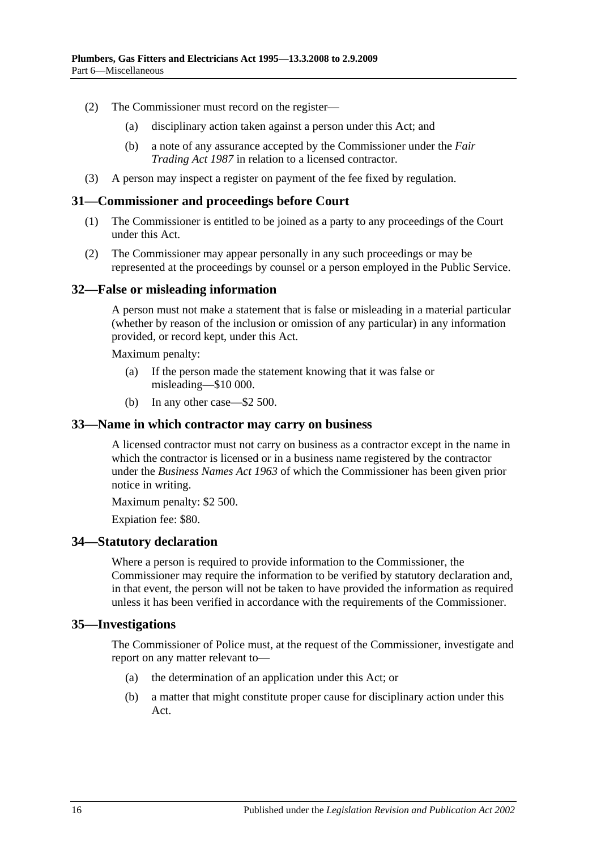- (2) The Commissioner must record on the register—
	- (a) disciplinary action taken against a person under this Act; and
	- (b) a note of any assurance accepted by the Commissioner under the *[Fair](http://www.legislation.sa.gov.au/index.aspx?action=legref&type=act&legtitle=Fair%20Trading%20Act%201987)  [Trading Act](http://www.legislation.sa.gov.au/index.aspx?action=legref&type=act&legtitle=Fair%20Trading%20Act%201987) 1987* in relation to a licensed contractor.
- (3) A person may inspect a register on payment of the fee fixed by regulation.

#### <span id="page-15-0"></span>**31—Commissioner and proceedings before Court**

- (1) The Commissioner is entitled to be joined as a party to any proceedings of the Court under this Act.
- (2) The Commissioner may appear personally in any such proceedings or may be represented at the proceedings by counsel or a person employed in the Public Service.

#### <span id="page-15-1"></span>**32—False or misleading information**

A person must not make a statement that is false or misleading in a material particular (whether by reason of the inclusion or omission of any particular) in any information provided, or record kept, under this Act.

Maximum penalty:

- (a) If the person made the statement knowing that it was false or misleading—\$10 000.
- (b) In any other case—\$2 500.

#### <span id="page-15-2"></span>**33—Name in which contractor may carry on business**

A licensed contractor must not carry on business as a contractor except in the name in which the contractor is licensed or in a business name registered by the contractor under the *[Business Names Act](http://www.legislation.sa.gov.au/index.aspx?action=legref&type=act&legtitle=Business%20Names%20Act%201963) 1963* of which the Commissioner has been given prior notice in writing.

Maximum penalty: \$2 500.

Expiation fee: \$80.

#### <span id="page-15-3"></span>**34—Statutory declaration**

Where a person is required to provide information to the Commissioner, the Commissioner may require the information to be verified by statutory declaration and, in that event, the person will not be taken to have provided the information as required unless it has been verified in accordance with the requirements of the Commissioner.

#### <span id="page-15-4"></span>**35—Investigations**

The Commissioner of Police must, at the request of the Commissioner, investigate and report on any matter relevant to—

- (a) the determination of an application under this Act; or
- (b) a matter that might constitute proper cause for disciplinary action under this Act.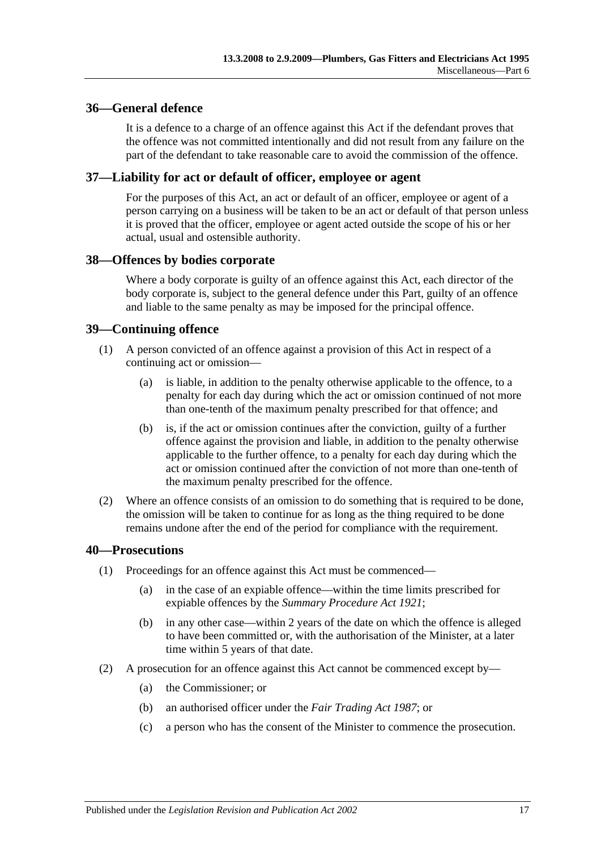### <span id="page-16-0"></span>**36—General defence**

It is a defence to a charge of an offence against this Act if the defendant proves that the offence was not committed intentionally and did not result from any failure on the part of the defendant to take reasonable care to avoid the commission of the offence.

### <span id="page-16-1"></span>**37—Liability for act or default of officer, employee or agent**

For the purposes of this Act, an act or default of an officer, employee or agent of a person carrying on a business will be taken to be an act or default of that person unless it is proved that the officer, employee or agent acted outside the scope of his or her actual, usual and ostensible authority.

#### <span id="page-16-2"></span>**38—Offences by bodies corporate**

Where a body corporate is guilty of an offence against this Act, each director of the body corporate is, subject to the general defence under this Part, guilty of an offence and liable to the same penalty as may be imposed for the principal offence.

### <span id="page-16-3"></span>**39—Continuing offence**

- (1) A person convicted of an offence against a provision of this Act in respect of a continuing act or omission—
	- (a) is liable, in addition to the penalty otherwise applicable to the offence, to a penalty for each day during which the act or omission continued of not more than one-tenth of the maximum penalty prescribed for that offence; and
	- (b) is, if the act or omission continues after the conviction, guilty of a further offence against the provision and liable, in addition to the penalty otherwise applicable to the further offence, to a penalty for each day during which the act or omission continued after the conviction of not more than one-tenth of the maximum penalty prescribed for the offence.
- (2) Where an offence consists of an omission to do something that is required to be done, the omission will be taken to continue for as long as the thing required to be done remains undone after the end of the period for compliance with the requirement.

#### <span id="page-16-4"></span>**40—Prosecutions**

- (1) Proceedings for an offence against this Act must be commenced—
	- (a) in the case of an expiable offence—within the time limits prescribed for expiable offences by the *[Summary Procedure Act](http://www.legislation.sa.gov.au/index.aspx?action=legref&type=act&legtitle=Summary%20Procedure%20Act%201921) 1921*;
	- (b) in any other case—within 2 years of the date on which the offence is alleged to have been committed or, with the authorisation of the Minister, at a later time within 5 years of that date.
- (2) A prosecution for an offence against this Act cannot be commenced except by—
	- (a) the Commissioner; or
	- (b) an authorised officer under the *[Fair Trading Act](http://www.legislation.sa.gov.au/index.aspx?action=legref&type=act&legtitle=Fair%20Trading%20Act%201987) 1987*; or
	- (c) a person who has the consent of the Minister to commence the prosecution.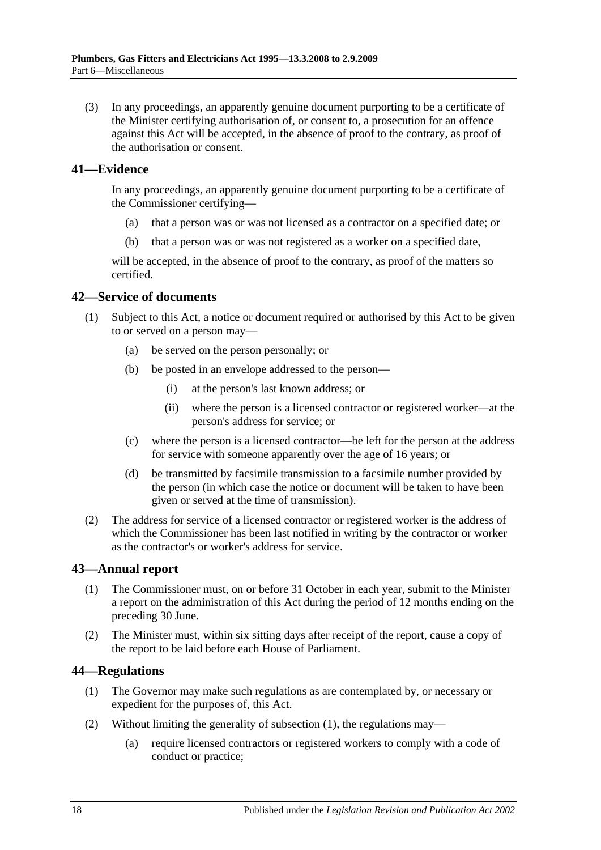(3) In any proceedings, an apparently genuine document purporting to be a certificate of the Minister certifying authorisation of, or consent to, a prosecution for an offence against this Act will be accepted, in the absence of proof to the contrary, as proof of the authorisation or consent.

### <span id="page-17-0"></span>**41—Evidence**

In any proceedings, an apparently genuine document purporting to be a certificate of the Commissioner certifying—

- (a) that a person was or was not licensed as a contractor on a specified date; or
- (b) that a person was or was not registered as a worker on a specified date,

will be accepted, in the absence of proof to the contrary, as proof of the matters so certified.

### <span id="page-17-1"></span>**42—Service of documents**

- (1) Subject to this Act, a notice or document required or authorised by this Act to be given to or served on a person may—
	- (a) be served on the person personally; or
	- (b) be posted in an envelope addressed to the person—
		- (i) at the person's last known address; or
		- (ii) where the person is a licensed contractor or registered worker—at the person's address for service; or
	- (c) where the person is a licensed contractor—be left for the person at the address for service with someone apparently over the age of 16 years; or
	- (d) be transmitted by facsimile transmission to a facsimile number provided by the person (in which case the notice or document will be taken to have been given or served at the time of transmission).
- (2) The address for service of a licensed contractor or registered worker is the address of which the Commissioner has been last notified in writing by the contractor or worker as the contractor's or worker's address for service.

### <span id="page-17-2"></span>**43—Annual report**

- (1) The Commissioner must, on or before 31 October in each year, submit to the Minister a report on the administration of this Act during the period of 12 months ending on the preceding 30 June.
- (2) The Minister must, within six sitting days after receipt of the report, cause a copy of the report to be laid before each House of Parliament.

### <span id="page-17-4"></span><span id="page-17-3"></span>**44—Regulations**

- (1) The Governor may make such regulations as are contemplated by, or necessary or expedient for the purposes of, this Act.
- (2) Without limiting the generality of [subsection](#page-17-4) (1), the regulations may—
	- (a) require licensed contractors or registered workers to comply with a code of conduct or practice;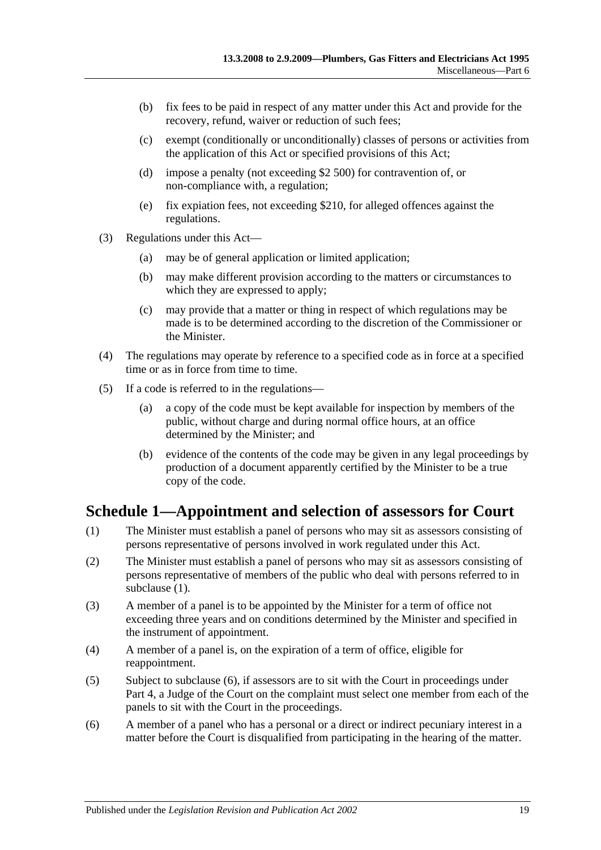- (b) fix fees to be paid in respect of any matter under this Act and provide for the recovery, refund, waiver or reduction of such fees;
- (c) exempt (conditionally or unconditionally) classes of persons or activities from the application of this Act or specified provisions of this Act;
- (d) impose a penalty (not exceeding \$2 500) for contravention of, or non-compliance with, a regulation;
- (e) fix expiation fees, not exceeding \$210, for alleged offences against the regulations.
- (3) Regulations under this Act—
	- (a) may be of general application or limited application;
	- (b) may make different provision according to the matters or circumstances to which they are expressed to apply;
	- (c) may provide that a matter or thing in respect of which regulations may be made is to be determined according to the discretion of the Commissioner or the Minister.
- (4) The regulations may operate by reference to a specified code as in force at a specified time or as in force from time to time.
- (5) If a code is referred to in the regulations—
	- (a) a copy of the code must be kept available for inspection by members of the public, without charge and during normal office hours, at an office determined by the Minister; and
	- (b) evidence of the contents of the code may be given in any legal proceedings by production of a document apparently certified by the Minister to be a true copy of the code.

## <span id="page-18-0"></span>**Schedule 1—Appointment and selection of assessors for Court**

- <span id="page-18-1"></span>(1) The Minister must establish a panel of persons who may sit as assessors consisting of persons representative of persons involved in work regulated under this Act.
- (2) The Minister must establish a panel of persons who may sit as assessors consisting of persons representative of members of the public who deal with persons referred to in [subclause](#page-18-1) (1).
- (3) A member of a panel is to be appointed by the Minister for a term of office not exceeding three years and on conditions determined by the Minister and specified in the instrument of appointment.
- (4) A member of a panel is, on the expiration of a term of office, eligible for reappointment.
- (5) Subject to [subclause](#page-18-2) (6), if assessors are to sit with the Court in proceedings under [Part 4,](#page-11-0) a Judge of the Court on the complaint must select one member from each of the panels to sit with the Court in the proceedings.
- <span id="page-18-2"></span>(6) A member of a panel who has a personal or a direct or indirect pecuniary interest in a matter before the Court is disqualified from participating in the hearing of the matter.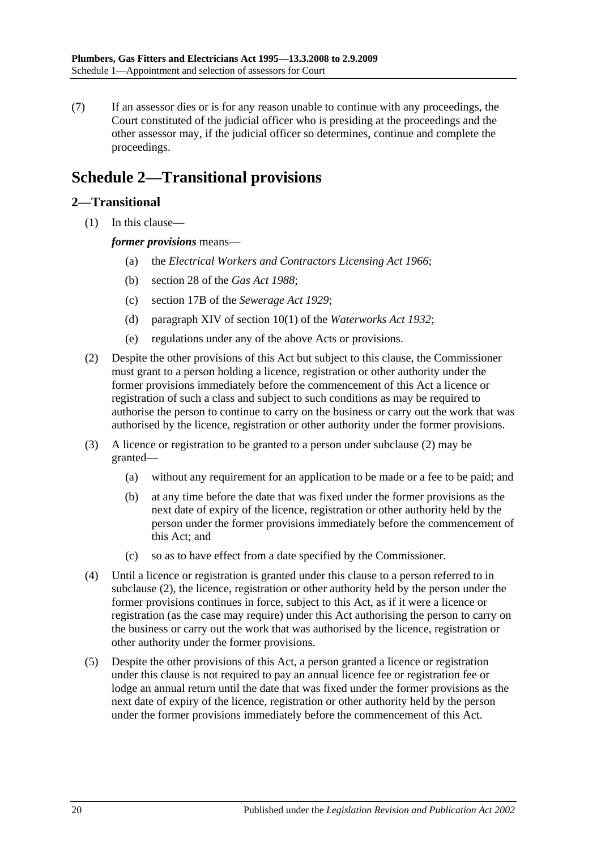(7) If an assessor dies or is for any reason unable to continue with any proceedings, the Court constituted of the judicial officer who is presiding at the proceedings and the other assessor may, if the judicial officer so determines, continue and complete the proceedings.

# <span id="page-19-0"></span>**Schedule 2—Transitional provisions**

## <span id="page-19-1"></span>**2—Transitional**

(1) In this clause—

### *former provisions* means—

- (a) the *[Electrical Workers and Contractors Licensing Act](http://www.legislation.sa.gov.au/index.aspx?action=legref&type=act&legtitle=Electrical%20Workers%20and%20Contractors%20Licensing%20Act%201966) 1966*;
- (b) section 28 of the *[Gas Act](http://www.legislation.sa.gov.au/index.aspx?action=legref&type=act&legtitle=Gas%20Act%201988) 1988*;
- (c) section 17B of the *[Sewerage Act](http://www.legislation.sa.gov.au/index.aspx?action=legref&type=act&legtitle=Sewerage%20Act%201929) 1929*;
- (d) paragraph XIV of section 10(1) of the *[Waterworks Act](http://www.legislation.sa.gov.au/index.aspx?action=legref&type=act&legtitle=Waterworks%20Act%201932) 1932*;
- (e) regulations under any of the above Acts or provisions.
- <span id="page-19-2"></span>(2) Despite the other provisions of this Act but subject to this clause, the Commissioner must grant to a person holding a licence, registration or other authority under the former provisions immediately before the commencement of this Act a licence or registration of such a class and subject to such conditions as may be required to authorise the person to continue to carry on the business or carry out the work that was authorised by the licence, registration or other authority under the former provisions.
- (3) A licence or registration to be granted to a person under [subclause](#page-19-2) (2) may be granted—
	- (a) without any requirement for an application to be made or a fee to be paid; and
	- (b) at any time before the date that was fixed under the former provisions as the next date of expiry of the licence, registration or other authority held by the person under the former provisions immediately before the commencement of this Act; and
	- (c) so as to have effect from a date specified by the Commissioner.
- (4) Until a licence or registration is granted under this clause to a person referred to in [subclause](#page-19-2) (2), the licence, registration or other authority held by the person under the former provisions continues in force, subject to this Act, as if it were a licence or registration (as the case may require) under this Act authorising the person to carry on the business or carry out the work that was authorised by the licence, registration or other authority under the former provisions.
- (5) Despite the other provisions of this Act, a person granted a licence or registration under this clause is not required to pay an annual licence fee or registration fee or lodge an annual return until the date that was fixed under the former provisions as the next date of expiry of the licence, registration or other authority held by the person under the former provisions immediately before the commencement of this Act.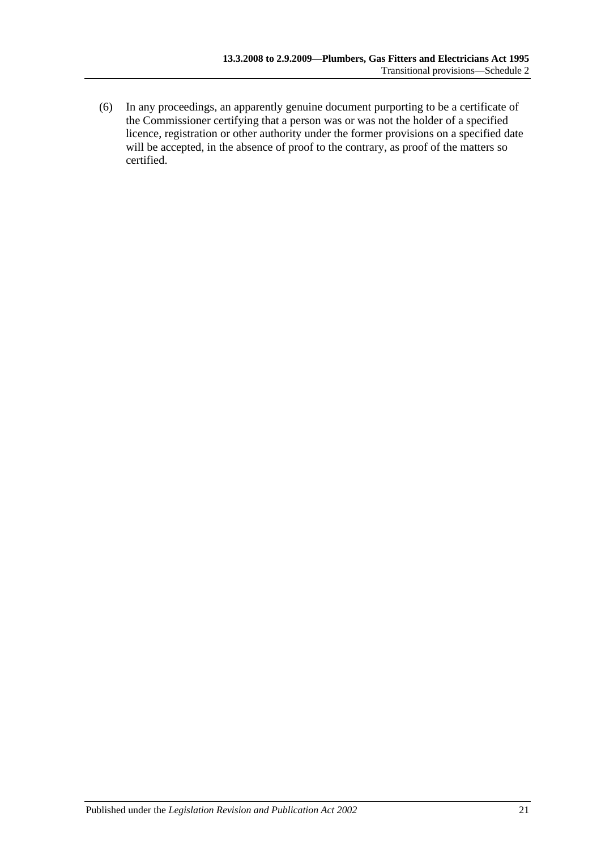(6) In any proceedings, an apparently genuine document purporting to be a certificate of the Commissioner certifying that a person was or was not the holder of a specified licence, registration or other authority under the former provisions on a specified date will be accepted, in the absence of proof to the contrary, as proof of the matters so certified.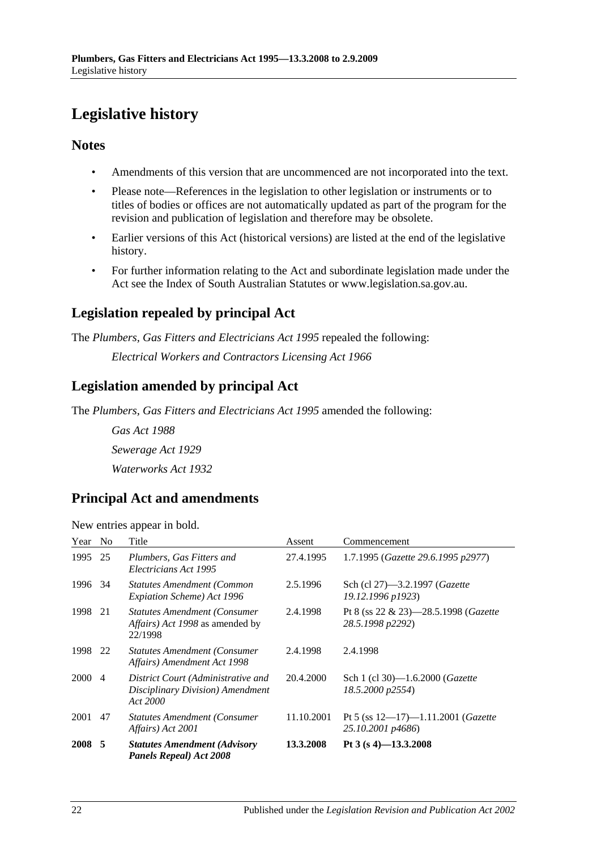# <span id="page-21-0"></span>**Legislative history**

### **Notes**

- Amendments of this version that are uncommenced are not incorporated into the text.
- Please note—References in the legislation to other legislation or instruments or to titles of bodies or offices are not automatically updated as part of the program for the revision and publication of legislation and therefore may be obsolete.
- Earlier versions of this Act (historical versions) are listed at the end of the legislative history.
- For further information relating to the Act and subordinate legislation made under the Act see the Index of South Australian Statutes or www.legislation.sa.gov.au.

## **Legislation repealed by principal Act**

The *Plumbers, Gas Fitters and Electricians Act 1995* repealed the following:

*Electrical Workers and Contractors Licensing Act 1966*

## **Legislation amended by principal Act**

The *Plumbers, Gas Fitters and Electricians Act 1995* amended the following:

*Gas Act 1988 Sewerage Act 1929 Waterworks Act 1932*

## **Principal Act and amendments**

New entries appear in bold.

| Year No |    | Title                                                                              | Assent     | Commencement                                                         |
|---------|----|------------------------------------------------------------------------------------|------------|----------------------------------------------------------------------|
| 1995 25 |    | Plumbers, Gas Fitters and<br>Electricians Act 1995                                 | 27.4.1995  | 1.7.1995 (Gazette 29.6.1995 p2977)                                   |
| 1996 34 |    | Statutes Amendment (Common<br>Expiation Scheme) Act 1996                           | 2.5.1996   | Sch (cl 27)—3.2.1997 ( <i>Gazette</i><br>19.12.1996 p1923)           |
| 1998    | 21 | <b>Statutes Amendment (Consumer</b><br>Affairs) Act 1998 as amended by<br>22/1998  | 2.4.1998   | Pt 8 (ss $22 \& 23$ )-28.5.1998 ( <i>Gazette</i><br>28.5.1998 p2292) |
| 1998 22 |    | <b>Statutes Amendment (Consumer</b><br>Affairs) Amendment Act 1998                 | 2.4.1998   | 2.4.1998                                                             |
| 2000 4  |    | District Court (Administrative and<br>Disciplinary Division) Amendment<br>Act 2000 | 20.4.2000  | Sch 1 (cl 30)-1.6.2000 ( <i>Gazette</i><br>18.5.2000 p2554)          |
| 2001    | 47 | <b>Statutes Amendment (Consumer</b><br>Affairs) Act 2001                           | 11.10.2001 | Pt 5 (ss $12-17$ )-1.11.2001 ( <i>Gazette</i><br>25.10.2001 p4686)   |
| 2008 5  |    | <b>Statutes Amendment (Advisory</b><br><b>Panels Repeal) Act 2008</b>              | 13.3.2008  | Pt $3(s 4)$ -13.3.2008                                               |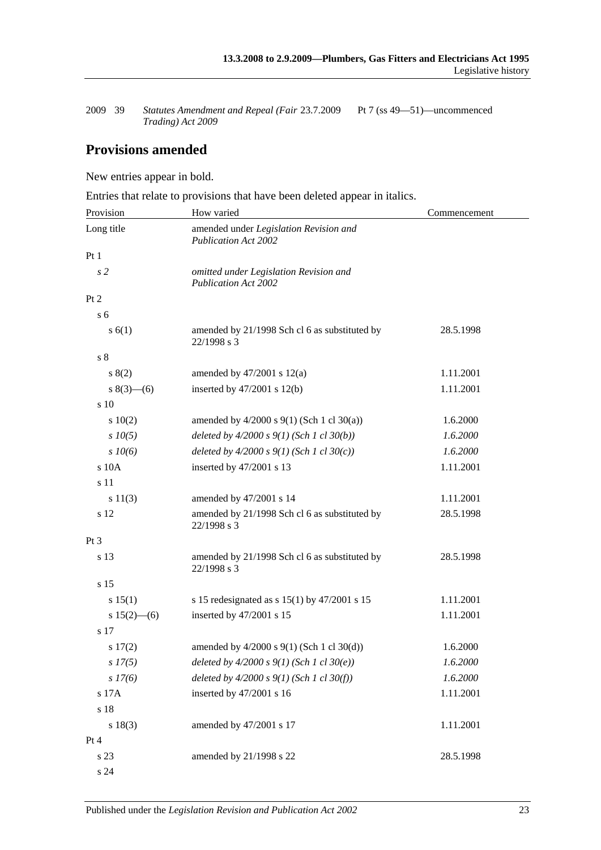2009 39 *Statutes Amendment and Repeal (Fair Trading) Act 2009* Pt 7 (ss 49-51)—uncommenced

## **Provisions amended**

New entries appear in bold.

Entries that relate to provisions that have been deleted appear in italics.

| Provision       | How varied                                                            | Commencement |
|-----------------|-----------------------------------------------------------------------|--------------|
| Long title      | amended under Legislation Revision and<br><b>Publication Act 2002</b> |              |
| Pt <sub>1</sub> |                                                                       |              |
| s <sub>2</sub>  | omitted under Legislation Revision and<br><b>Publication Act 2002</b> |              |
| Pt 2            |                                                                       |              |
| s <sub>6</sub>  |                                                                       |              |
| s(6(1))         | amended by 21/1998 Sch cl 6 as substituted by<br>22/1998 s 3          | 28.5.1998    |
| $\sqrt{s}$ 8    |                                                                       |              |
| s(2)            | amended by $47/2001$ s $12(a)$                                        | 1.11.2001    |
| $s(3)$ (6)      | inserted by $47/2001$ s $12(b)$                                       | 1.11.2001    |
| s 10            |                                                                       |              |
| 10(2)           | amended by $4/2000$ s $9(1)$ (Sch 1 cl 30(a))                         | 1.6.2000     |
| $s$ 10(5)       | deleted by $4/2000 s 9(1)$ (Sch 1 cl 30(b))                           | 1.6.2000     |
| $s \, 10(6)$    | deleted by $4/2000 s 9(1)$ (Sch 1 cl 30(c))                           | 1.6.2000     |
| s 10A           | inserted by 47/2001 s 13                                              | 1.11.2001    |
| s 11            |                                                                       |              |
| s 11(3)         | amended by 47/2001 s 14                                               | 1.11.2001    |
| s 12            | amended by 21/1998 Sch cl 6 as substituted by<br>22/1998 s 3          | 28.5.1998    |
| $Pt\,3$         |                                                                       |              |
| s 13            | amended by 21/1998 Sch cl 6 as substituted by<br>22/1998 s 3          | 28.5.1998    |
| s 15            |                                                                       |              |
| s 15(1)         | s 15 redesignated as s $15(1)$ by $47/2001$ s 15                      | 1.11.2001    |
| $s 15(2)$ - (6) | inserted by 47/2001 s 15                                              | 1.11.2001    |
| s 17            |                                                                       |              |
| s 17(2)         | amended by 4/2000 s 9(1) (Sch 1 cl 30(d))                             | 1.6.2000     |
| $s$ 17(5)       | deleted by $4/2000 s 9(1)$ (Sch 1 cl 30(e))                           | 1.6.2000     |
| $s\,I7(6)$      | deleted by $4/2000 s 9(1)$ (Sch 1 cl 30(f))                           | 1.6.2000     |
| s 17A           | inserted by 47/2001 s 16                                              | 1.11.2001    |
| s 18            |                                                                       |              |
| s 18(3)         | amended by 47/2001 s 17                                               | 1.11.2001    |
| Pt 4            |                                                                       |              |
| s 23            | amended by 21/1998 s 22                                               | 28.5.1998    |
| s 24            |                                                                       |              |